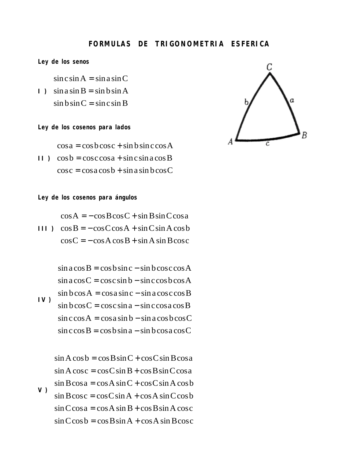## **FORMULAS DE TRIGONOMETRIA ESFERICA**

**Ley de los senos**

 $\sin c \sin A = \sin a \sin C$ 

**I**)  $\sin a \sin B = \sin b \sin A$  $\sin b \sin C = \sin c \sin B$ 

**Ley de los cosenos para lados**

 $\cos a = \cos b \cos c + \sin b \sin c \cos A$ 

 $\Box$   $\cos b = \csc \cos a + \sin c \sin a \cos B$  $\cos c = \cos a \cos b + \sin a \sin b \cos C$ 

**Ley de los cosenos para ángulos**

 $\cos A = -\cos B \cos C + \sin B \sin C \cos a$ 

 $III$ )  $\cos B = -\cos C \cos A + \sin C \sin A \cos b$  $\cos C = -\cos A \cos B + \sin A \sin B \cos C$ 

**IV )**  $\sin a \cos B = \cos b \sin c - \sin b \cos c \cos A$  $\sin a \cos C = \cos c \sin b - \sin c \cos b \cos A$  $\sin b \cos A = \cos a \sin c - \sin a \cos c \cos B$  $\sin b \cos C = \cos c \sin a - \sin c \cos a \cos B$  $\sin c \cos A = \cos a \sin b - \sin a \cos b \cos C$  $\sin c \cos B = \cos b \sin a - \sin b \cos a \cos C$ 

**V )**  $\sin A \cos b = \cos B \sin C + \cos C \sin B \cos a$  $\sin A \cos c = \cos C \sin B + \cos B \sin C \cos a$  $\sin B \cos a = \cos A \sin C + \cos C \sin A \cos b$  $\sin B \cos c = \cos C \sin A + \cos A \sin C \cos b$  $\sin C \cos a = \cos A \sin B + \cos B \sin A \cos c$  $\sin C \cos b = \cos B \sin A + \cos A \sin B \cos c$ 

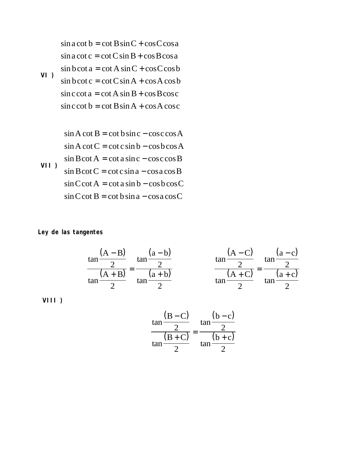**VI )**  $\sin a \cot b = \cot B \sin C + \cos C \cos a$  $\sin a \cot c = \cot C \sin B + \cos B \cos a$  $\sin b \cot a = \cot A \sin C + \cos C \cos b$  $\sin b \cot c = \cot C \sin A + \cos A \cos b$  $\sin c \cot a = \cot A \sin B + \cos B \cos c$  $\sin c \cot b = \cot B \sin A + \cos A \cos c$ 

$$
\sin A \cot B = \cot b \sin c - \cos c \cos A
$$
  
\n
$$
\sin A \cot C = \cot c \sin b - \cos b \cos A
$$
  
\n
$$
\sin B \cot A = \cot a \sin c - \cos c \cos B
$$
  
\n
$$
\sin B \cot C = \cot c \sin a - \cos a \cos B
$$
  
\n
$$
\sin C \cot A = \cot a \sin b - \cos b \cos C
$$
  
\n
$$
\sin C \cot B = \cot b \sin a - \cos a \cos C
$$

## **Ley de las tangentes**

$$
\frac{\tan\frac{(A-B)}{2}}{\tan\frac{(A+B)}{2}} = \frac{\tan\frac{(a-b)}{2}}{\tan\frac{(a+b)}{2}}
$$
\n
$$
\frac{\tan\frac{(A-C)}{2}}{\tan\frac{(A+C)}{2}} = \frac{\tan\frac{(a-c)}{2}}{\tan\frac{(a+c)}{2}}
$$

 **VIII )**

$$
\frac{\tan\frac{(B-C)}{2}}{\tan\frac{(B+C)}{2}} = \frac{\tan\frac{(b-c)}{2}}{\tan\frac{(b+c)}{2}}
$$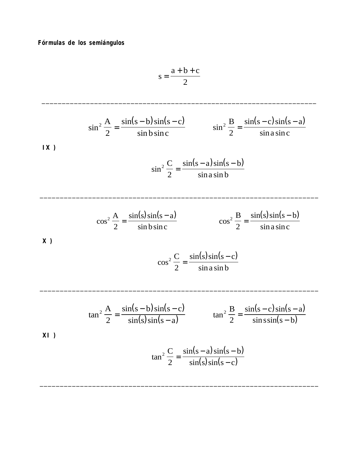Fórmulas de los semiángulos

$$
s = \frac{a+b+c}{2}
$$

1X)  
\n
$$
\sin^2 \frac{A}{2} = \frac{\sin(s-b)\sin(s-c)}{\sin b \sin c}
$$
\n
$$
\sin^2 \frac{B}{2} = \frac{\sin(s-c)\sin(s-a)}{\sin a \sin c}
$$
\n1X)  
\n
$$
\cos^2 \frac{A}{2} = \frac{\sin(s-c)\sin(s-a)}{\sin a \sin c}
$$

$$
\sin^2 \frac{e}{2} = \frac{\sin(3\theta + \sin\theta)}{\sin\theta}
$$

$$
\cos^2 \frac{A}{2} = \frac{\sin(s)\sin(s-a)}{\sin b \sin c}
$$
 
$$
\cos^2 \frac{B}{2} = \frac{\sin(s)\sin(s-b)}{\sin a \sin c}
$$

 $X)$ 

$$
\cos^2 \frac{C}{2} = \frac{\sin(s)\sin(s - c)}{\sin a \sin b}
$$

$$
\tan^2 \frac{A}{2} = \frac{\sin(s-b)\sin(s-c)}{\sin(s)\sin(s-a)} \qquad \tan^2 \frac{B}{2} = \frac{\sin(s-c)\sin(s-a)}{\sin\sin(s-b)}
$$

 $\ddot{\phantom{a}}$ 

 $\overline{a}$ 

 $XI$ )

$$
\tan^2 \frac{C}{2} = \frac{\sin(s-a)\sin(s-b)}{\sin(s)\sin(s-c)}
$$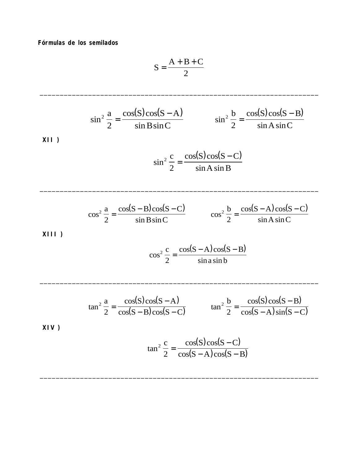**Fórmulas de los semilados**

$$
S = \frac{A + B + C}{2}
$$

\_\_\_\_\_\_\_\_\_\_\_\_\_\_\_\_\_\_\_\_\_\_\_\_\_\_\_\_\_\_\_\_\_\_\_\_\_\_\_\_\_\_\_\_\_\_\_\_\_\_\_\_\_\_\_\_\_\_\_\_\_\_\_\_\_\_\_\_\_

$$
\sin^2 \frac{a}{2} = \frac{\cos(S)\cos(S - A)}{\sin B \sin C} \qquad \sin^2 \frac{b}{2} = \frac{\cos(S)\cos(S - B)}{\sin A \sin C}
$$

\_\_\_\_\_\_\_\_\_\_\_\_\_\_\_\_\_\_\_\_\_\_\_\_\_\_\_\_\_\_\_\_\_\_\_\_\_\_\_\_\_\_\_\_\_\_\_\_\_\_\_\_\_\_\_\_\_\_\_\_\_\_\_\_\_\_\_\_\_

\_\_\_\_\_\_\_\_\_\_\_\_\_\_\_\_\_\_\_\_\_\_\_\_\_\_\_\_\_\_\_\_\_\_\_\_\_\_\_\_\_\_\_\_\_\_\_\_\_\_\_\_\_\_\_\_\_\_\_\_\_\_\_\_\_\_\_\_\_

\_\_\_\_\_\_\_\_\_\_\_\_\_\_\_\_\_\_\_\_\_\_\_\_\_\_\_\_\_\_\_\_\_\_\_\_\_\_\_\_\_\_\_\_\_\_\_\_\_\_\_\_\_\_\_\_\_\_\_\_\_\_\_\_\_\_\_\_\_

$$
\sin^2 \frac{c}{2} = \frac{\cos(S)\cos(S - C)}{\sin A \sin B}
$$

$$
\cos^2 \frac{a}{2} = \frac{\cos(S - B)\cos(S - C)}{\sin B \sin C}
$$
 
$$
\cos^2 \frac{b}{2} = \frac{\cos(S - A)\cos(S - C)}{\sin A \sin C}
$$

 **XIII )**

$$
\cos^2 \frac{c}{2} = \frac{\cos(S - A)\cos(S - B)}{\sin a \sin b}
$$

$$
\tan^2 \frac{a}{2} = \frac{\cos(S)\cos(S-A)}{\cos(S-B)\cos(S-C)} \qquad \tan^2 \frac{b}{2} = \frac{\cos(S)\cos(S-B)}{\cos(S-A)\sin(S-C)}
$$

 **XIV )**

$$
\tan^2 \frac{c}{2} = \frac{\cos(S)\cos(S - C)}{\cos(S - A)\cos(S - B)}
$$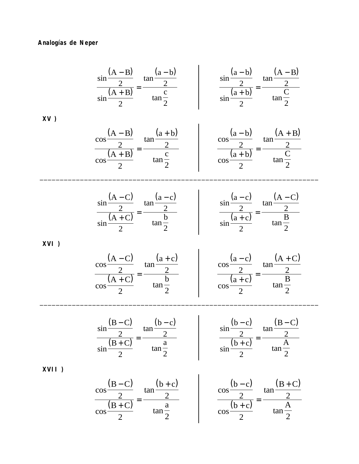## **Analogías de Neper**

 **XVI )**

$$
\frac{\sin\frac{(A-B)}{2}}{\sin\frac{(A+B)}{2}} = \frac{\tan\frac{(a-b)}{2}}{\tan\frac{c}{2}}
$$
\n
$$
\frac{\cos\frac{(A-B)}{2}}{\cos\frac{(A+B)}{2}} = \frac{\tan\frac{(a+b)}{2}}{\tan\frac{c}{2}}
$$
\n
$$
\frac{\cos\frac{(a-b)}{2}}{\sin\frac{(a+b)}{2}} = \frac{\tan\frac{(a+B)}{2}}{\tan\frac{c}{2}}
$$
\n
$$
\frac{\cos\frac{(a-b)}{2}}{\cos\frac{(a+b)}{2}} = \frac{\tan\frac{(A+B)}{2}}{\tan\frac{c}{2}}
$$
\n
$$
\frac{\sin\frac{(A-C)}{2}}{\cos\frac{(A+C)}{2}} = \frac{\tan\frac{(a-c)}{2}}{\tan\frac{b}{2}}
$$
\n
$$
\frac{\sin\frac{(a-c)}{2}}{\sin\frac{(a+c)}{2}} = \frac{\tan\frac{(a-c)}{2}}{\tan\frac{c}{2}}
$$
\n
$$
\frac{\cos\frac{(A-C)}{2}}{\cos\frac{(A+C)}{2}} = \frac{\tan\frac{(a+c)}{2}}{\tan\frac{b}{2}}
$$
\n
$$
\frac{\cos\frac{(a-c)}{2}}{\cos\frac{(a+c)}{2}} = \frac{\tan\frac{(A+C)}{2}}{\tan\frac{b}{2}}
$$
\n
$$
\frac{\sin\frac{(B-C)}{2}}{\sin\frac{(B+C)}{2}} = \frac{\tan\frac{(b-c)}{2}}{\tan\frac{a}{2}}
$$
\n
$$
\frac{\sin\frac{(b-c)}{2}}{\cos\frac{(b+c)}{2}} = \frac{\tan\frac{(B-C)}{2}}{\tan\frac{a}{2}}
$$
\n
$$
\frac{\cos\frac{(b-c)}{2}}{\cos\frac{(b+c)}{2}} = \frac{\tan\frac{(B+C)}{2}}{\tan\frac{a}{2}}
$$
\n
$$
\frac{\cos\frac{(b-c)}{2}}{\cos\frac{(b+c)}{2}} = \frac{\tan\frac{(B+C)}{2}}{\tan\frac{a}{2}}
$$